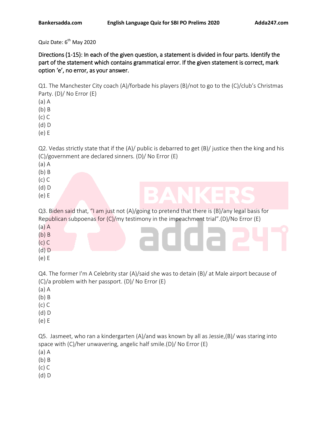Quiz Date: 6<sup>th</sup> May 2020

Directions (1-15): In each of the given question, a statement is divided in four parts. Identify the part of the statement which contains grammatical error. If the given statement is correct, mark option 'e', no error, as your answer.

Q1. The Manchester City coach (A)/forbade his players (B)/not to go to the (C)/club's Christmas Party. (D)/ No Error (E)

(a) A

(b) B

(c) C

(d) D

(e) E

Q2. Vedas strictly state that if the (A)/ public is debarred to get (B)/ justice then the king and his (C)/government are declared sinners. (D)/ No Error (E)

(a) A

(b) B

(c) C

(d) D

(e) E

Q3. Biden said that, "I am just not (A)/going to pretend that there is (B)/any legal basis for Republican subpoenas for (C)/my testimony in the impeachment trial".(D)/No Error (E) (a) A

- (b) B
- (c) C
- (d) D
- (e) E

Q4. The former I'm A Celebrity star (A)/said she was to detain (B)/ at Male airport because of (C)/a problem with her passport. (D)/ No Error (E)

- (a) A
- (b) B
- (c) C
- (d) D
- (e) E

Q5. Jasmeet, who ran a kindergarten (A)/and was known by all as Jessie,(B)/ was staring into space with (C)/her unwavering, angelic half smile.(D)/ No Error (E)

- (a) A
- (b) B
- (c) C
- (d) D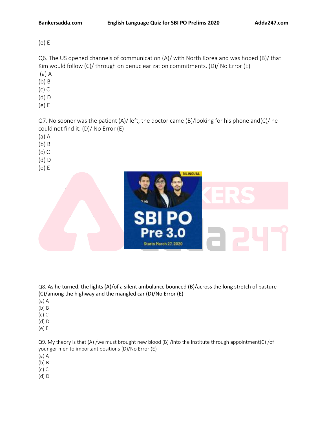(e) E

Q6. The US opened channels of communication (A)/ with North Korea and was hoped (B)/ that Kim would follow (C)/ through on denuclearization commitments. (D)/ No Error (E)

- (a) A
- (b) B (c) C
- (d) D
- (e) E

Q7. No sooner was the patient (A)/ left, the doctor came (B)/looking for his phone and(C)/ he could not find it. (D)/ No Error (E)

- (a) A
- (b) B
- (c) C
- (d) D
- (e) E



Q8. As he turned, the lights (A)/of a silent ambulance bounced (B)/across the long stretch of pasture (C)/among the highway and the mangled car (D)/No Error (E)

- (a) A
- (b) B
- (c) C
- (d) D
- (e) E

Q9. My theory is that (A) /we must brought new blood (B) /into the Institute through appointment(C) /of younger men to important positions (D)/No Error (E)

- (a) A
- (b) B
- (c) C
- (d) D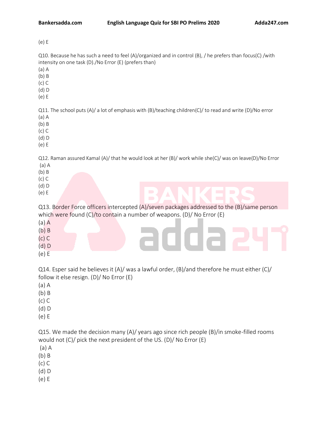(e) E

Q10. Because he has such a need to feel (A)/organized and in control (B), / he prefers than focus(C) /with intensity on one task (D)./No Error (E) (prefers than)

(a) A

- (b) B
- (c) C
- (d) D
- (e) E

Q11. The school puts (A)/ a lot of emphasis with (B)/teaching children(C)/ to read and write (D)/No error

- (a) A
- (b) B
- (c) C
- (d) D
- (e) E

Q12. Raman assured Kamal (A)/ that he would look at her (B)/ work while she(C)/ was on leave(D)/No Error (a) A

- (b) B
- (c) C
- (d) D
- (e) E

Q13. Border Force officers intercepted (A)/seven packages addressed to the (B)/same person which were found (C)/to contain a number of weapons. (D)/ No Error (E)

- (a) A
- (b) B
- (c) C
- (d) D
- (e) E

Q14. Esper said he believes it  $(A)/$  was a lawful order,  $(B)/$  and therefore he must either  $(C)/$ follow it else resign. (D)/ No Error (E)

- (a) A
- (b) B
- (c) C
- (d) D
- (e) E

Q15. We made the decision many (A)/ years ago since rich people (B)/in smoke-filled rooms would not (C)/ pick the next president of the US. (D)/ No Error (E)

- (a) A
- (b) B
- (c) C
- (d) D
- (e) E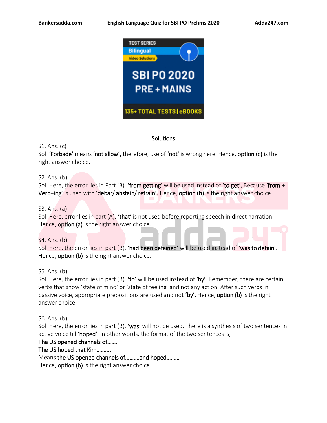

# **Solutions**

S1. Ans. (c)

Sol. 'Forbade' means 'not allow', therefore, use of 'not' is wrong here. Hence, option (c) is the right answer choice.

# S2. Ans. (b)

Sol. Here, the error lies in Part (B). **'from getting'** will be used instead of 'to get'. Because 'from  $+$ Verb+ing' is used with 'debar/ abstain/ refrain'. Hence, option (b) is the right answer choice

# S3. Ans. (a)

Sol. Here, error lies in part  $(A)$ . 'that' is not used before reporting speech in direct narration. Hence, **option (a)** is the right answer choice.

## S4. Ans. (b)

Sol. Here, the error lies in part (B). 'had been detained' will be used instead of 'was to detain'. Hence, **option (b)** is the right answer choice.

S5. Ans. (b)

Sol. Here, the error lies in part (B). 'to' will be used instead of 'by'. Remember, there are certain verbs that show 'state of mind' or 'state of feeling' and not any action. After such verbs in passive voice, appropriate prepositions are used and not 'by'. Hence, option (b) is the right answer choice.

S6. Ans. (b)

Sol. Here, the error lies in part (B). 'was' will not be used. There is a synthesis of two sentences in active voice till 'hoped'. In other words, the format of the two sentences is,

# The US opened channels of…….

The US hoped that Kim……….

Means the US opened channels of……….and hoped………

Hence, **option (b)** is the right answer choice.